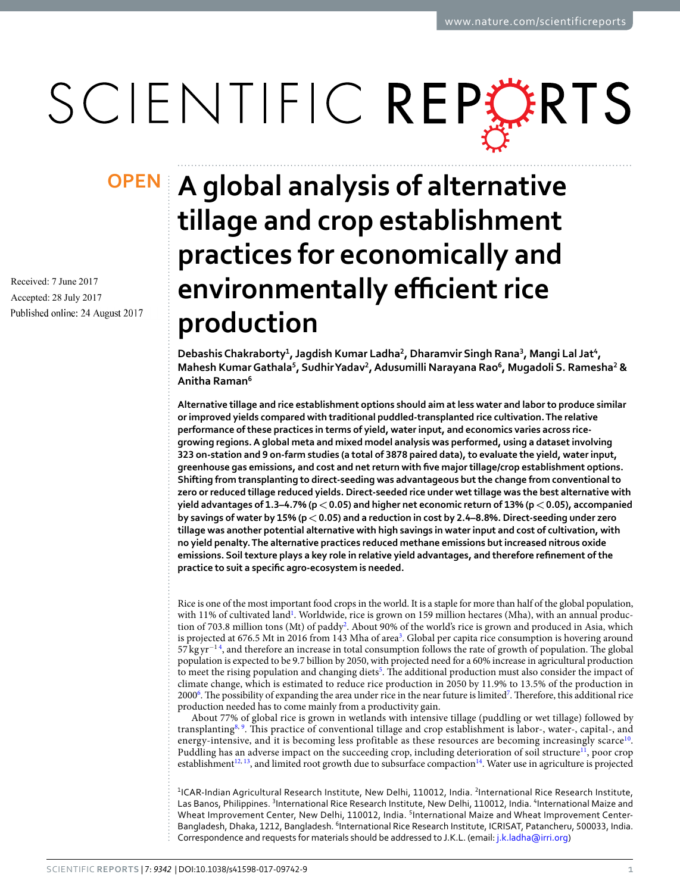# SCIENTIFIC REPERTS

Received: 7 June 2017 Accepted: 28 July 2017 Published online: 24 August 2017

## **OPEN** A global analysis of alternative **tillage and crop establishment practices for economically and environmentally efficient rice production**

**Debashis Chakraborty<sup>1</sup> , Jagdish Kumar Ladha<sup>2</sup> , Dharamvir Singh Rana<sup>3</sup> , Mangi Lal Jat<sup>4</sup> , Mahesh Kumar Gathala<sup>5</sup> , Sudhir Yadav<sup>2</sup> , Adusumilli Narayana Rao<sup>6</sup> , Mugadoli S. Ramesha<sup>2</sup> & Anitha Raman<sup>6</sup>**

**Alternative tillage and rice establishment options should aim at less water and labor to produce similar or improved yields compared with traditional puddled-transplanted rice cultivation. The relative performance of these practices in terms of yield, water input, and economics varies across ricegrowing regions. A global meta and mixed model analysis was performed, using a dataset involving 323 on-station and 9 on-farm studies (a total of 3878 paired data), to evaluate the yield, water input, greenhouse gas emissions, and cost and net return with five major tillage/crop establishment options. Shifting from transplanting to direct-seeding was advantageous but the change from conventional to zero or reduced tillage reduced yields. Direct-seeded rice under wet tillage was the best alternative with yield advantages of 1.3–4.7% (p < 0.05) and higher net economic return of 13% (p < 0.05), accompanied by savings of water by 15% (p < 0.05) and a reduction in cost by 2.4–8.8%. Direct-seeding under zero tillage was another potential alternative with high savings in water input and cost of cultivation, with no yield penalty. The alternative practices reduced methane emissions but increased nitrous oxide emissions. Soil texture plays a key role in relative yield advantages, and therefore refinement of the practice to suit a specific agro-ecosystem is needed.**

Rice is one of the most important food crops in the world. It is a staple for more than half of the global population, with [1](#page-8-0)1% of cultivated land<sup>1</sup>. Worldwide, rice is grown on 159 million hectares (Mha), with an annual produc-tion of 703.8 million tons (Mt) of paddy<sup>[2](#page-8-1)</sup>. About 90% of the world's rice is grown and produced in Asia, which is projected at 676.5 Mt in 2016 from 14[3](#page-8-2) Mha of area<sup>3</sup>. Global per capita rice consumption is hovering around 57 kg yr<sup>−</sup><sup>1</sup> [4](#page-8-3) , and therefore an increase in total consumption follows the rate of growth of population. The global population is expected to be 9.7 billion by 2050, with projected need for a 60% increase in agricultural production to meet the rising population and changing diets<sup>[5](#page-8-4)</sup>. The additional production must also consider the impact of climate change, which is estimated to reduce rice production in 2050 by 11.9% to 13.5% of the production in  $2000^6$  $2000^6$ . The possibility of expanding the area under rice in the near future is limited<sup>[7](#page-8-6)</sup>. Therefore, this additional rice production needed has to come mainly from a productivity gain.

About 77% of global rice is grown in wetlands with intensive tillage (puddling or wet tillage) followed by transplanting<sup>[8](#page-8-7), [9](#page-8-8)</sup>. This practice of conventional tillage and crop establishment is labor-, water-, capital-, and energy-intensive, and it is becoming less profitable as these resources are becoming increasingly scarce<sup>[10](#page-8-9)</sup>. Puddling has an adverse impact on the succeeding crop, including deterioration of soil structure<sup>[11](#page-8-10)</sup>, poor crop establishment<sup>[12,](#page-8-11) [13](#page-8-12)</sup>, and limited root growth due to subsurface compaction<sup>[14](#page-8-13)</sup>. Water use in agriculture is projected

<sup>1</sup>ICAR-Indian Agricultural Research Institute, New Delhi, 110012, India. <sup>2</sup>International Rice Research Institute, Las Banos, Philippines. <sup>3</sup>International Rice Research Institute, New Delhi, 110012, India. <sup>4</sup>International Maize and Wheat Improvement Center, New Delhi, 110012, India. <sup>5</sup>International Maize and Wheat Improvement Center-Bangladesh, Dhaka, 1212, Bangladesh. <sup>6</sup>International Rice Research Institute, ICRISAT, Patancheru, 500033, India. Correspondence and requests for materials should be addressed to J.K.L. (email: [j.k.ladha@irri.org](mailto:j.k.ladha@irri.org))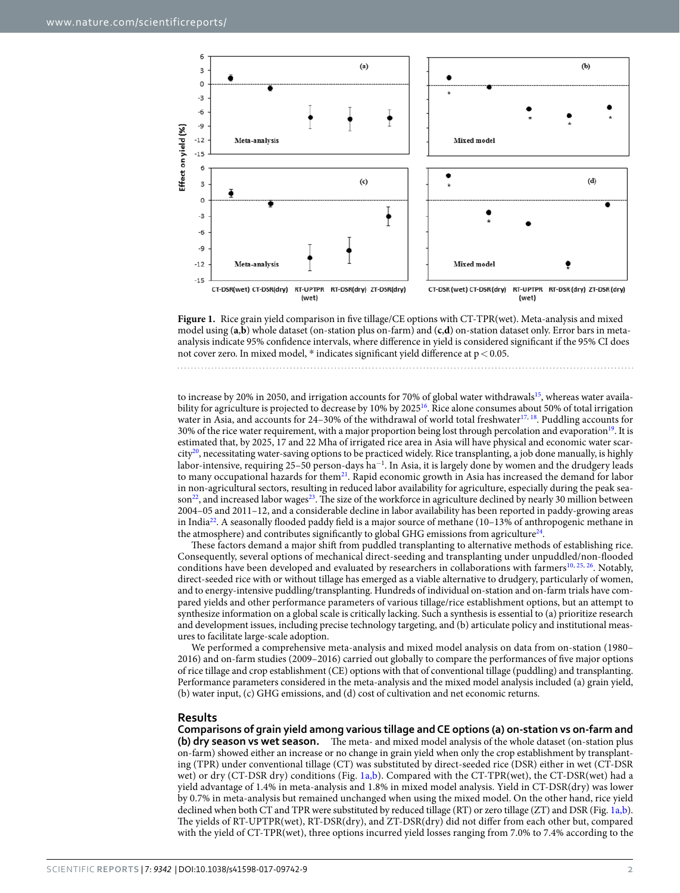

<span id="page-1-0"></span>

to increase by 20% in 2050, and irrigation accounts for 70% of global water withdrawals<sup>[15](#page-8-14)</sup>, whereas water availa-bility for agriculture is projected to decrease by 10% by 2025<sup>[16](#page-8-15)</sup>. Rice alone consumes about 50% of total irrigation water in Asia, and accounts for 24–30% of the withdrawal of world total freshwater<sup>[17,](#page-8-16) [18](#page-8-17)</sup>. Puddling accounts for 30% of the rice water requirement, with a major proportion being lost through percolation and evaporation<sup>[19](#page-8-18)</sup>. It is estimated that, by 2025, 17 and 22 Mha of irrigated rice area in Asia will have physical and economic water scar-city<sup>[20](#page-8-19)</sup>, necessitating water-saving options to be practiced widely. Rice transplanting, a job done manually, is highly labor-intensive, requiring 25–50 person-days ha<sup>−1</sup>. In Asia, it is largely done by women and the drudgery leads to many occupational hazards for them<sup>[21](#page-8-20)</sup>. Rapid economic growth in Asia has increased the demand for labor in non-agricultural sectors, resulting in reduced labor availability for agriculture, especially during the peak sea-son<sup>[22](#page-8-21)</sup>, and increased labor wages<sup>[23](#page-8-22)</sup>. The size of the workforce in agriculture declined by nearly 30 million between 2004–05 and 2011–12, and a considerable decline in labor availability has been reported in paddy-growing areas in India[22](#page-8-21). A seasonally flooded paddy field is a major source of methane (10–13% of anthropogenic methane in the atmosphere) and contributes significantly to global GHG emissions from agriculture $^{24}$  $^{24}$  $^{24}$ .

These factors demand a major shift from puddled transplanting to alternative methods of establishing rice. Consequently, several options of mechanical direct-seeding and transplanting under unpuddled/non-flooded conditions have been developed and evaluated by researchers in collaborations with farmers<sup>[10](#page-8-9), [25,](#page-8-24) [26](#page-8-25)</sup>. Notably, direct-seeded rice with or without tillage has emerged as a viable alternative to drudgery, particularly of women, and to energy-intensive puddling/transplanting. Hundreds of individual on-station and on-farm trials have compared yields and other performance parameters of various tillage/rice establishment options, but an attempt to synthesize information on a global scale is critically lacking. Such a synthesis is essential to (a) prioritize research and development issues, including precise technology targeting, and (b) articulate policy and institutional measures to facilitate large-scale adoption.

We performed a comprehensive meta-analysis and mixed model analysis on data from on-station (1980– 2016) and on-farm studies (2009–2016) carried out globally to compare the performances of five major options of rice tillage and crop establishment (CE) options with that of conventional tillage (puddling) and transplanting. Performance parameters considered in the meta-analysis and the mixed model analysis included (a) grain yield, (b) water input, (c) GHG emissions, and (d) cost of cultivation and net economic returns.

#### **Results**

**Comparisons of grain yield among various tillage and CE options (a) on-station vs on-farm and (b) dry season vs wet season.** The meta- and mixed model analysis of the whole dataset (on-station plus on-farm) showed either an increase or no change in grain yield when only the crop establishment by transplanting (TPR) under conventional tillage (CT) was substituted by direct-seeded rice (DSR) either in wet (CT-DSR wet) or dry (CT-DSR dry) conditions (Fig. [1a,b\)](#page-1-0). Compared with the CT-TPR(wet), the CT-DSR(wet) had a yield advantage of 1.4% in meta-analysis and 1.8% in mixed model analysis. Yield in CT-DSR(dry) was lower by 0.7% in meta-analysis but remained unchanged when using the mixed model. On the other hand, rice yield declined when both CT and TPR were substituted by reduced tillage (RT) or zero tillage (ZT) and DSR (Fig. [1a,b\)](#page-1-0). The yields of RT-UPTPR(wet), RT-DSR(dry), and ZT-DSR(dry) did not differ from each other but, compared with the yield of CT-TPR(wet), three options incurred yield losses ranging from 7.0% to 7.4% according to the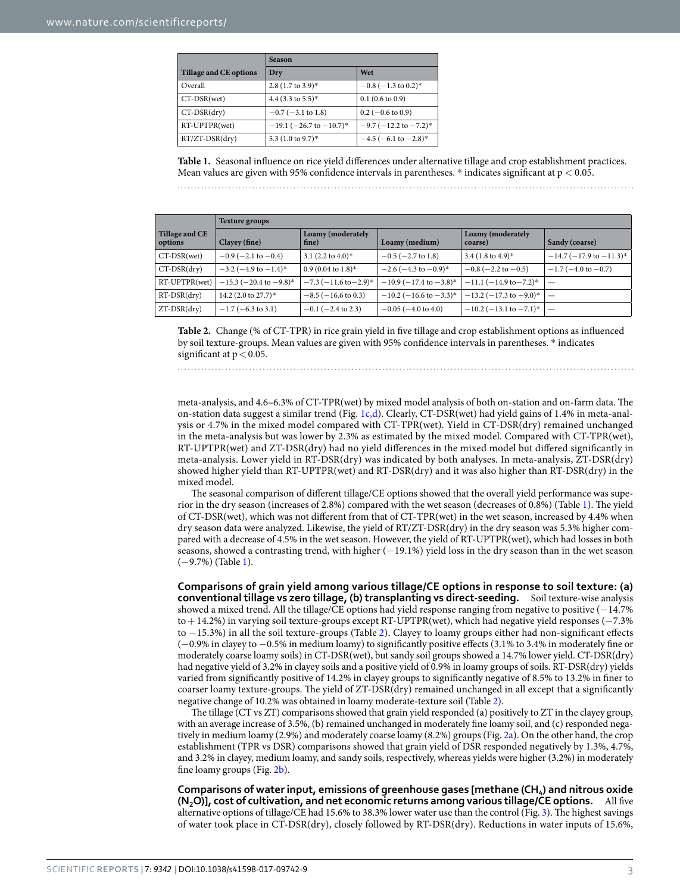<span id="page-2-0"></span>

|                        | <b>Season</b>                   |                                      |  |  |
|------------------------|---------------------------------|--------------------------------------|--|--|
| Tillage and CE options | Dry                             | Wet                                  |  |  |
| Overall                | $2.8(1.7 \text{ to } 3.9)^*$    | $-0.8$ ( $-1.3$ to 0.2) <sup>*</sup> |  |  |
| $CT-DSR(wet)$          | 4.4 $(3.3 \text{ to } 5.5)^*$   | $0.1$ (0.6 to 0.9)                   |  |  |
| $CT-DSR(dry)$          | $-0.7$ ( $-3.1$ to 1.8)         | $0.2$ (-0.6 to 0.9)                  |  |  |
| RT-UPTPR(wet)          | $-19.1$ ( $-26.7$ to $-10.7$ )* | $-9.7$ ( $-12.2$ to $-7.2$ )*        |  |  |
| $RT/ZT-DSR(dry)$       | $5.3(1.0 \text{ to } 9.7)$ *    | $-4.5$ (-6.1 to $-2.8$ )*            |  |  |

**Table 1.** Seasonal influence on rice yield differences under alternative tillage and crop establishment practices. Mean values are given with 95% confidence intervals in parentheses.  $*$  indicates significant at  $p < 0.05$ .

<span id="page-2-1"></span>

|                           | <b>Texture groups</b>          |                               |                                   |                                          |                                 |  |
|---------------------------|--------------------------------|-------------------------------|-----------------------------------|------------------------------------------|---------------------------------|--|
| Tillage and CE<br>options | Clayey (fine)                  | Loamy (moderately<br>fine)    | Loamy (medium)                    | Loamy (moderately<br>coarse)             | Sandy (coarse)                  |  |
| $CT-DSR(wet)$             | $-0.9$ (-2.1 to -0.4)          | $3.1$ (2.2 to 4.0)*           | $-0.5$ ( $-2.7$ to 1.8)           | $3.4(1.8 \text{ to } 4.9)^*$             | $-14.7$ ( $-17.9$ to $-11.3$ )* |  |
| $CT-DSR(dry)$             | $-3.2$ (-4.9 to $-1.4$ )*      | $0.9(0.04 \text{ to } 1.8)^*$ | $-2.6$ ( $-4.3$ to $-0.9$ )*      | $-0.8$ ( $-2.2$ to $-0.5$ )              | $-1.7$ (-4.0 to -0.7)           |  |
| RT-UPTPR(wet)             | $-15.3$ ( $-20.4$ to $-9.8$ )* | $-7.3$ ( $-11.6$ to $-2.9$ )* | $-10.9(-17.4 \text{ to } -3.8)^*$ | $-11.1$ ( $-14.9$ to $-7.2$ )*           |                                 |  |
| $RT-DSR(dry)$             | 14.2 (2.0 to $27.7$ )*         | $-8.5$ ( $-16.6$ to 0.3)      | $-10.2$ (-16.6 to -3.3)*          | $-13.2$ ( $-17.3$ to $-9.0$ <sup>*</sup> |                                 |  |
| $ZT-DSR(dry)$             | $-1.7$ (-6.3 to 3.1)           | $-0.1$ ( $-2.4$ to 2.3)       | $-0.05$ ( $-4.0$ to 4.0)          | $-10.2$ (-13.1 to -7.1)*                 |                                 |  |

**Table 2.** Change (% of CT-TPR) in rice grain yield in five tillage and crop establishment options as influenced by soil texture-groups. Mean values are given with 95% confidence intervals in parentheses. \* indicates significant at  $p < 0.05$ .

meta-analysis, and 4.6–6.3% of CT-TPR(wet) by mixed model analysis of both on-station and on-farm data. The on-station data suggest a similar trend (Fig. [1c,d\)](#page-1-0). Clearly, CT-DSR(wet) had yield gains of 1.4% in meta-analysis or 4.7% in the mixed model compared with CT-TPR(wet). Yield in CT-DSR(dry) remained unchanged in the meta-analysis but was lower by 2.3% as estimated by the mixed model. Compared with CT-TPR(wet), RT-UPTPR(wet) and ZT-DSR(dry) had no yield differences in the mixed model but differed significantly in meta-analysis. Lower yield in RT-DSR(dry) was indicated by both analyses. In meta-analysis, ZT-DSR(dry) showed higher yield than RT-UPTPR(wet) and RT-DSR(dry) and it was also higher than RT-DSR(dry) in the mixed model.

The seasonal comparison of different tillage/CE options showed that the overall yield performance was superior in the dry season (increases of 2.8%) compared with the wet season (decreases of 0.8%) (Table [1\)](#page-2-0). The yield of CT-DSR(wet), which was not different from that of CT-TPR(wet) in the wet season, increased by 4.4% when dry season data were analyzed. Likewise, the yield of RT/ZT-DSR(dry) in the dry season was 5.3% higher compared with a decrease of 4.5% in the wet season. However, the yield of RT-UPTPR(wet), which had losses in both seasons, showed a contrasting trend, with higher (−19.1%) yield loss in the dry season than in the wet season (−9.7%) (Table [1\)](#page-2-0).

**Comparisons of grain yield among various tillage/CE options in response to soil texture: (a) conventional tillage vs zero tillage, (b) transplanting vs direct-seeding.** Soil texture-wise analysis showed a mixed trend. All the tillage/CE options had yield response ranging from negative to positive (−14.7% to + 14.2%) in varying soil texture-groups except RT-UPTPR(wet), which had negative yield responses (−7.3% to −15.3%) in all the soil texture-groups (Table [2\)](#page-2-1). Clayey to loamy groups either had non-significant effects (−0.9% in clayey to −0.5% in medium loamy) to significantly positive effects (3.1% to 3.4% in moderately fine or moderately coarse loamy soils) in CT-DSR(wet), but sandy soil groups showed a 14.7% lower yield. CT-DSR(dry) had negative yield of 3.2% in clayey soils and a positive yield of 0.9% in loamy groups of soils. RT-DSR(dry) yields varied from significantly positive of 14.2% in clayey groups to significantly negative of 8.5% to 13.2% in finer to coarser loamy texture-groups. The yield of ZT-DSR(dry) remained unchanged in all except that a significantly negative change of 10.2% was obtained in loamy moderate-texture soil (Table [2](#page-2-1)).

The tillage (CT vs ZT) comparisons showed that grain yield responded (a) positively to ZT in the clayey group, with an average increase of 3.5%, (b) remained unchanged in moderately fine loamy soil, and (c) responded negatively in medium loamy (2.9%) and moderately coarse loamy (8.2%) groups (Fig. [2a\)](#page-3-0). On the other hand, the crop establishment (TPR vs DSR) comparisons showed that grain yield of DSR responded negatively by 1.3%, 4.7%, and 3.2% in clayey, medium loamy, and sandy soils, respectively, whereas yields were higher (3.2%) in moderately fine loamy groups (Fig. [2b\)](#page-3-0).

**Comparisons of water input, emissions of greenhouse gases [methane (CH<sup>4</sup> ) and nitrous oxide (N2O)], cost of cultivation, and net economic returns among various tillage/CE options.** All five alternative options of tillage/CE had 15.6% to 38.3% lower water use than the control (Fig. [3\)](#page-3-1). The highest savings of water took place in CT-DSR(dry), closely followed by RT-DSR(dry). Reductions in water inputs of 15.6%,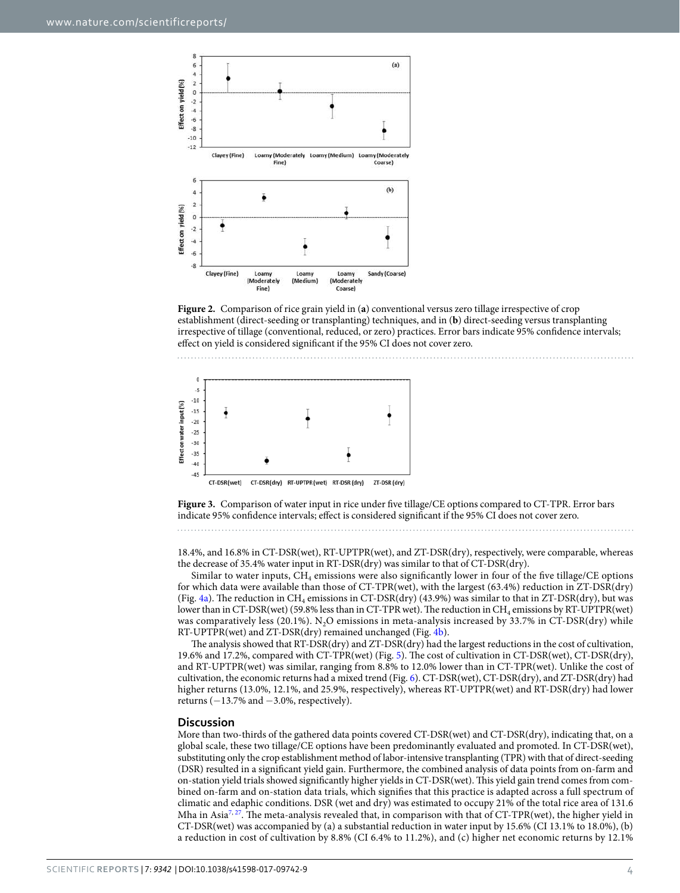

<span id="page-3-0"></span>



<span id="page-3-1"></span>**Figure 3.** Comparison of water input in rice under five tillage/CE options compared to CT-TPR. Error bars indicate 95% confidence intervals; effect is considered significant if the 95% CI does not cover zero.

18.4%, and 16.8% in CT-DSR(wet), RT-UPTPR(wet), and ZT-DSR(dry), respectively, were comparable, whereas the decrease of 35.4% water input in RT-DSR(dry) was similar to that of CT-DSR(dry).

Similar to water inputs,  $\text{CH}_4$  emissions were also significantly lower in four of the five tillage/CE options for which data were available than those of CT-TPR(wet), with the largest (63.4%) reduction in ZT-DSR(dry) (Fig. [4a\)](#page-4-0). The reduction in  $CH_4$  emissions in CT-DSR(dry) (43.9%) was similar to that in ZT-DSR(dry), but was lower than in CT-DSR(wet) (59.8% less than in CT-TPR wet). The reduction in CH<sub>4</sub> emissions by RT-UPTPR(wet) was comparatively less (20.1%). N<sub>2</sub>O emissions in meta-analysis increased by 33.7% in CT-DSR(dry) while RT-UPTPR(wet) and ZT-DSR(dry) remained unchanged (Fig. [4b\)](#page-4-0).

The analysis showed that RT-DSR(dry) and ZT-DSR(dry) had the largest reductions in the cost of cultivation, 19.6% and 17.2%, compared with CT-TPR(wet) (Fig. [5](#page-4-1)). The cost of cultivation in CT-DSR(wet), CT-DSR(dry), and RT-UPTPR(wet) was similar, ranging from 8.8% to 12.0% lower than in CT-TPR(wet). Unlike the cost of cultivation, the economic returns had a mixed trend (Fig. [6](#page-4-2)). CT-DSR(wet), CT-DSR(dry), and ZT-DSR(dry) had higher returns (13.0%, 12.1%, and 25.9%, respectively), whereas RT-UPTPR(wet) and RT-DSR(dry) had lower returns  $(-13.7\% \text{ and } -3.0\% \text{, respectively}).$ 

#### **Discussion**

More than two-thirds of the gathered data points covered CT-DSR(wet) and CT-DSR(dry), indicating that, on a global scale, these two tillage/CE options have been predominantly evaluated and promoted. In CT-DSR(wet), substituting only the crop establishment method of labor-intensive transplanting (TPR) with that of direct-seeding (DSR) resulted in a significant yield gain. Furthermore, the combined analysis of data points from on-farm and on-station yield trials showed significantly higher yields in CT-DSR(wet). This yield gain trend comes from combined on-farm and on-station data trials, which signifies that this practice is adapted across a full spectrum of climatic and edaphic conditions. DSR (wet and dry) was estimated to occupy 21% of the total rice area of 131.6 Mha in Asia<sup>[7](#page-8-6), [27](#page-8-26)</sup>. The meta-analysis revealed that, in comparison with that of CT-TPR(wet), the higher yield in CT-DSR(wet) was accompanied by (a) a substantial reduction in water input by 15.6% (CI 13.1% to 18.0%), (b) a reduction in cost of cultivation by 8.8% (CI 6.4% to 11.2%), and (c) higher net economic returns by 12.1%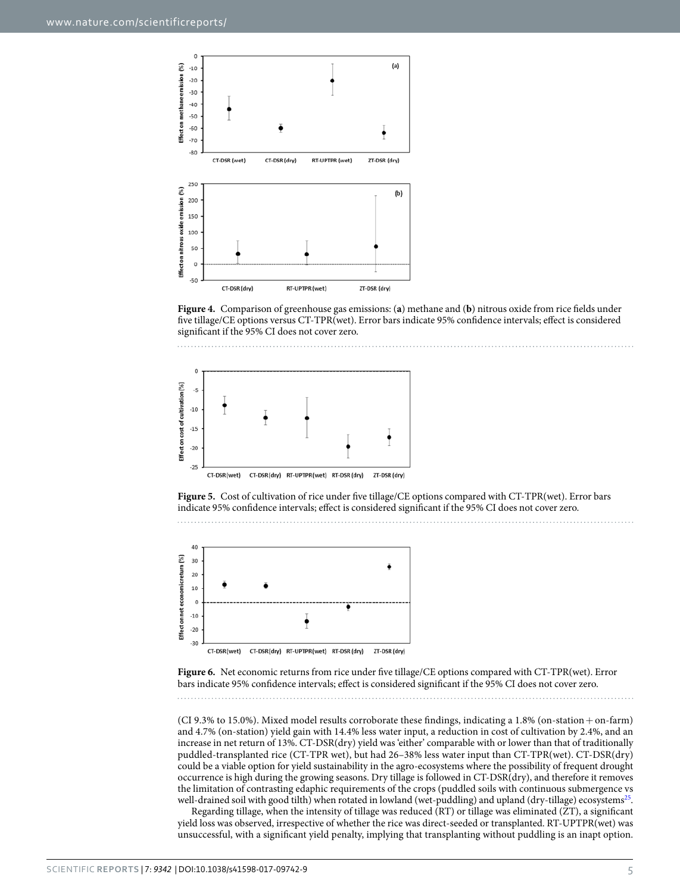

<span id="page-4-0"></span>



<span id="page-4-1"></span>**Figure 5.** Cost of cultivation of rice under five tillage/CE options compared with CT-TPR(wet). Error bars indicate 95% confidence intervals; effect is considered significant if the 95% CI does not cover zero.



CT-DSR(dry) RT-UPTPR(wet) RT-DSR(dry) ZT-DSR (dry) CT-DSR (wet)

<span id="page-4-2"></span>**Figure 6.** Net economic returns from rice under five tillage/CE options compared with CT-TPR(wet). Error bars indicate 95% confidence intervals; effect is considered significant if the 95% CI does not cover zero.

(CI 9.3% to 15.0%). Mixed model results corroborate these findings, indicating a 1.8% (on-station + on-farm) and 4.7% (on-station) yield gain with 14.4% less water input, a reduction in cost of cultivation by 2.4%, and an increase in net return of 13%. CT-DSR(dry) yield was 'either' comparable with or lower than that of traditionally puddled-transplanted rice (CT-TPR wet), but had 26–38% less water input than CT-TPR(wet). CT-DSR(dry) could be a viable option for yield sustainability in the agro-ecosystems where the possibility of frequent drought occurrence is high during the growing seasons. Dry tillage is followed in CT-DSR(dry), and therefore it removes the limitation of contrasting edaphic requirements of the crops (puddled soils with continuous submergence vs well-drained soil with good tilth) when rotated in lowland (wet-puddling) and upland (dry-tillage) ecosystems<sup>[25](#page-8-24)</sup>.

Regarding tillage, when the intensity of tillage was reduced (RT) or tillage was eliminated (ZT), a significant yield loss was observed, irrespective of whether the rice was direct-seeded or transplanted. RT-UPTPR(wet) was unsuccessful, with a significant yield penalty, implying that transplanting without puddling is an inapt option.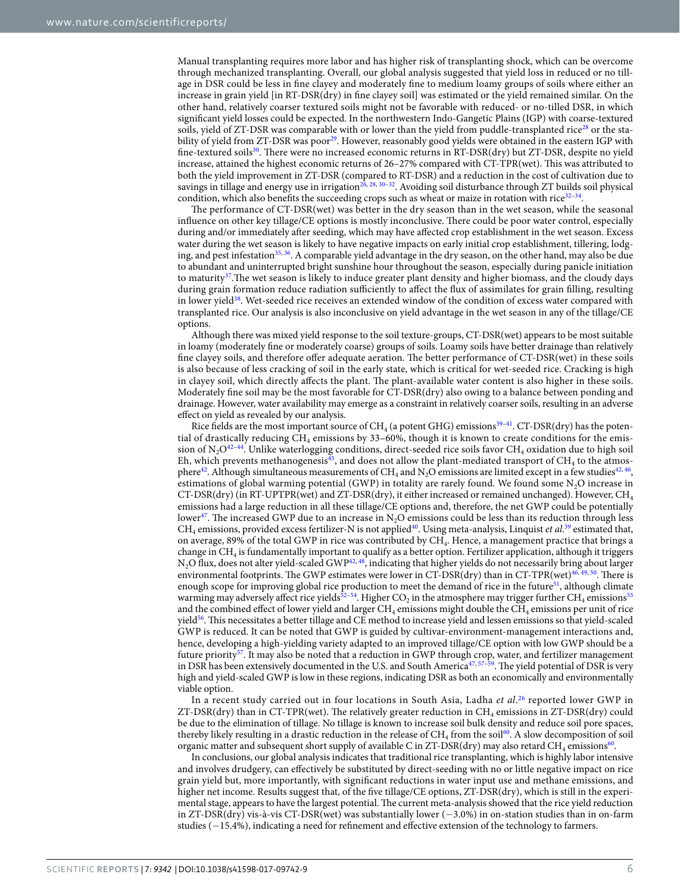Manual transplanting requires more labor and has higher risk of transplanting shock, which can be overcome through mechanized transplanting. Overall, our global analysis suggested that yield loss in reduced or no tillage in DSR could be less in fine clayey and moderately fine to medium loamy groups of soils where either an increase in grain yield [in RT-DSR(dry) in fine clayey soil] was estimated or the yield remained similar. On the other hand, relatively coarser textured soils might not be favorable with reduced- or no-tilled DSR, in which significant yield losses could be expected. In the northwestern Indo-Gangetic Plains (IGP) with coarse-textured soils, yield of ZT-DSR was comparable with or lower than the yield from puddle-transplanted rice<sup>[28](#page-8-27)</sup> or the sta-bility of yield from ZT-DSR was poor<sup>[29](#page-8-28)</sup>. However, reasonably good yields were obtained in the eastern IGP with fine-textured soils<sup>[30](#page-8-29)</sup>. There were no increased economic returns in RT-DSR(dry) but ZT-DSR, despite no yield increase, attained the highest economic returns of 26–27% compared with CT-TPR(wet). This was attributed to both the yield improvement in ZT-DSR (compared to RT-DSR) and a reduction in the cost of cultivation due to savings in tillage and energy use in irrigation<sup>[26,](#page-8-25) [28](#page-8-27), [30](#page-8-29)[–32](#page-9-0)</sup>. Avoiding soil disturbance through ZT builds soil physical condition, which also benefits the succeeding crops such as wheat or maize in rotation with rice $32-34$  $32-34$  $32-34$ .

The performance of CT-DSR(wet) was better in the dry season than in the wet season, while the seasonal influence on other key tillage/CE options is mostly inconclusive. There could be poor water control, especially during and/or immediately after seeding, which may have affected crop establishment in the wet season. Excess water during the wet season is likely to have negative impacts on early initial crop establishment, tillering, lodging, and pest infestation[35](#page-9-2), [36](#page-9-3). A comparable yield advantage in the dry season, on the other hand, may also be due to abundant and uninterrupted bright sunshine hour throughout the season, especially during panicle initiation to maturity<sup>[37](#page-9-4)</sup>. The wet season is likely to induce greater plant density and higher biomass, and the cloudy days during grain formation reduce radiation sufficiently to affect the flux of assimilates for grain filling, resulting in lower yield<sup>[38](#page-9-5)</sup>. Wet-seeded rice receives an extended window of the condition of excess water compared with transplanted rice. Our analysis is also inconclusive on yield advantage in the wet season in any of the tillage/CE options.

Although there was mixed yield response to the soil texture-groups, CT-DSR(wet) appears to be most suitable in loamy (moderately fine or moderately coarse) groups of soils. Loamy soils have better drainage than relatively fine clayey soils, and therefore offer adequate aeration. The better performance of CT-DSR(wet) in these soils is also because of less cracking of soil in the early state, which is critical for wet-seeded rice. Cracking is high in clayey soil, which directly affects the plant. The plant-available water content is also higher in these soils. Moderately fine soil may be the most favorable for CT-DSR(dry) also owing to a balance between ponding and drainage. However, water availability may emerge as a constraint in relatively coarser soils, resulting in an adverse effect on yield as revealed by our analysis.

Rice fields are the most important source of  $CH_4$  (a potent GHG) emissions<sup>[39](#page-9-6)[–41](#page-9-7)</sup>. CT-DSR(dry) has the potential of drastically reducing  $CH_4$  emissions by 33–60%, though it is known to create conditions for the emission of  $N_2O^{42-44}$  $N_2O^{42-44}$  $N_2O^{42-44}$ . Unlike waterlogging conditions, direct-seeded rice soils favor CH<sub>4</sub> oxidation due to high soil Eh, which prevents methanogenesis $45$ , and does not allow the plant-mediated transport of CH<sub>4</sub> to the atmos-phere<sup>[42](#page-9-8)</sup>. Although simultaneous measurements of CH<sub>4</sub> and N<sub>2</sub>O emissions are limited except in a few studies<sup>[42,](#page-9-8) [46](#page-9-11)</sup>, estimations of global warming potential (GWP) in totality are rarely found. We found some N<sub>2</sub>O increase in CT-DSR(dry) (in RT-UPTPR(wet) and ZT-DSR(dry), it either increased or remained unchanged). However, CH<sup>4</sup> emissions had a large reduction in all these tillage/CE options and, therefore, the net GWP could be potentially lower<sup>[47](#page-9-12)</sup>. The increased GWP due to an increase in N<sub>2</sub>O emissions could be less than its reduction through less  $CH_4$  emissions, provided excess fertilizer-N is not applied<sup>[40](#page-9-13)</sup>. Using meta-analysis, Linquist *et al*.<sup>[39](#page-9-6)</sup> estimated that, on average, 89% of the total GWP in rice was contributed by  $\text{CH}_4$ . Hence, a management practice that brings a change in CH<sup>4</sup> is fundamentally important to qualify as a better option. Fertilizer application, although it triggers N2O flux, does not alter yield-scaled GWP[42](#page-9-8), [48](#page-9-14), indicating that higher yields do not necessarily bring about larger environmental footprints. The GWP estimates were lower in CT-DSR(dry) than in CT-TPR(wet)<sup>[46](#page-9-11), [49](#page-9-15), [50](#page-9-16)</sup>. There is enough scope for improving global rice production to meet the demand of rice in the future<sup>[51](#page-9-17)</sup>, although climate warming may adversely affect rice yields $^{52-54}$  $^{52-54}$  $^{52-54}$ . Higher CO<sub>2</sub> in the atmosphere may trigger further CH<sub>4</sub> emissions $^{55}$  $^{55}$  $^{55}$ and the combined effect of lower yield and larger  $CH_4$  emissions might double the  $CH_4$  emissions per unit of rice yield[56](#page-9-21). This necessitates a better tillage and CE method to increase yield and lessen emissions so that yield-scaled GWP is reduced. It can be noted that GWP is guided by cultivar-environment-management interactions and, hence, developing a high-yielding variety adapted to an improved tillage/CE option with low GWP should be a future priority[57](#page-9-22). It may also be noted that a reduction in GWP through crop, water, and fertilizer management in DSR has been extensively documented in the U.S. and South America<sup>[47](#page-9-12), [57](#page-9-22)[–59](#page-9-23)</sup>. The yield potential of DSR is very high and yield-scaled GWP is low in these regions, indicating DSR as both an economically and environmentally viable option.

In a recent study carried out in four locations in South Asia, Ladha *et al.<sup>[26](#page-8-25)</sup> reported lower GWP* in  $\rm ZT\text{-}DSR(dry)$  than in CT-TPR(wet). The relatively greater reduction in  $\rm CH_4$  emissions in  $\rm ZT\text{-}DSR(dry)$  could be due to the elimination of tillage. No tillage is known to increase soil bulk density and reduce soil pore spaces, thereby likely resulting in a drastic reduction in the release of CH<sub>4</sub> from the soil<sup>[60](#page-9-24)</sup>. A slow decomposition of soil organic matter and subsequent short supply of available C in ZT-DSR(dry) may also retard CH<sub>4</sub> emissions<sup>[60](#page-9-24)</sup>.

In conclusions, our global analysis indicates that traditional rice transplanting, which is highly labor intensive and involves drudgery, can effectively be substituted by direct-seeding with no or little negative impact on rice grain yield but, more importantly, with significant reductions in water input use and methane emissions, and higher net income. Results suggest that, of the five tillage/CE options, ZT-DSR(dry), which is still in the experimental stage, appears to have the largest potential. The current meta-analysis showed that the rice yield reduction in ZT-DSR(dry) vis-à-vis CT-DSR(wet) was substantially lower (−3.0%) in on-station studies than in on-farm studies (−15.4%), indicating a need for refinement and effective extension of the technology to farmers.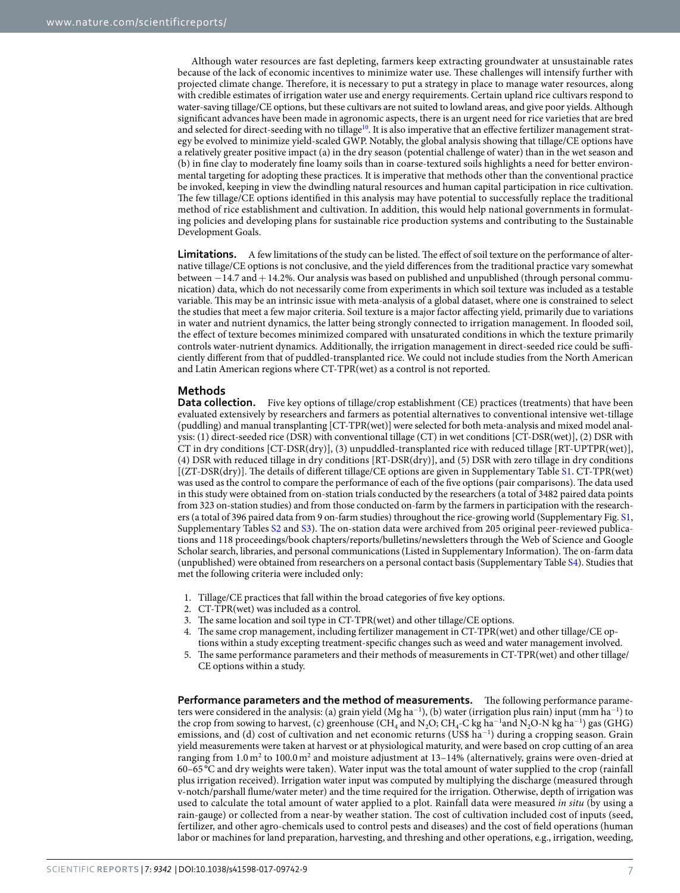Although water resources are fast depleting, farmers keep extracting groundwater at unsustainable rates because of the lack of economic incentives to minimize water use. These challenges will intensify further with projected climate change. Therefore, it is necessary to put a strategy in place to manage water resources, along with credible estimates of irrigation water use and energy requirements. Certain upland rice cultivars respond to water-saving tillage/CE options, but these cultivars are not suited to lowland areas, and give poor yields. Although significant advances have been made in agronomic aspects, there is an urgent need for rice varieties that are bred and selected for direct-seeding with no tillage<sup>[10](#page-8-9)</sup>. It is also imperative that an effective fertilizer management strategy be evolved to minimize yield-scaled GWP. Notably, the global analysis showing that tillage/CE options have a relatively greater positive impact (a) in the dry season (potential challenge of water) than in the wet season and (b) in fine clay to moderately fine loamy soils than in coarse-textured soils highlights a need for better environmental targeting for adopting these practices. It is imperative that methods other than the conventional practice be invoked, keeping in view the dwindling natural resources and human capital participation in rice cultivation. The few tillage/CE options identified in this analysis may have potential to successfully replace the traditional method of rice establishment and cultivation. In addition, this would help national governments in formulating policies and developing plans for sustainable rice production systems and contributing to the Sustainable Development Goals.

**Limitations.** A few limitations of the study can be listed. The effect of soil texture on the performance of alternative tillage/CE options is not conclusive, and the yield differences from the traditional practice vary somewhat between −14.7 and + 14.2%. Our analysis was based on published and unpublished (through personal communication) data, which do not necessarily come from experiments in which soil texture was included as a testable variable. This may be an intrinsic issue with meta-analysis of a global dataset, where one is constrained to select the studies that meet a few major criteria. Soil texture is a major factor affecting yield, primarily due to variations in water and nutrient dynamics, the latter being strongly connected to irrigation management. In flooded soil, the effect of texture becomes minimized compared with unsaturated conditions in which the texture primarily controls water-nutrient dynamics. Additionally, the irrigation management in direct-seeded rice could be sufficiently different from that of puddled-transplanted rice. We could not include studies from the North American and Latin American regions where CT-TPR(wet) as a control is not reported.

#### **Methods**

**Data collection.** Five key options of tillage/crop establishment (CE) practices (treatments) that have been evaluated extensively by researchers and farmers as potential alternatives to conventional intensive wet-tillage (puddling) and manual transplanting [CT-TPR(wet)] were selected for both meta-analysis and mixed model analysis: (1) direct-seeded rice (DSR) with conventional tillage (CT) in wet conditions [CT-DSR(wet)], (2) DSR with CT in dry conditions [CT-DSR(dry)], (3) unpuddled-transplanted rice with reduced tillage [RT-UPTPR(wet)], (4) DSR with reduced tillage in dry conditions [RT-DSR(dry)], and (5) DSR with zero tillage in dry conditions [(ZT-DSR(dry)]. The details of different tillage/CE options are given in Supplementary Table [S1.](http://S1) CT-TPR(wet) was used as the control to compare the performance of each of the five options (pair comparisons). The data used in this study were obtained from on-station trials conducted by the researchers (a total of 3482 paired data points from 323 on-station studies) and from those conducted on-farm by the farmers in participation with the researchers (a total of 396 paired data from 9 on-farm studies) throughout the rice-growing world (Supplementary Fig. [S1,](http://S1) Supplementary Tables [S2](http://S2) and [S3\)](http://S3). The on-station data were archived from 205 original peer-reviewed publications and 118 proceedings/book chapters/reports/bulletins/newsletters through the Web of Science and Google Scholar search, libraries, and personal communications (Listed in Supplementary Information). The on-farm data (unpublished) were obtained from researchers on a personal contact basis (Supplementary Table [S4](http://S4)). Studies that met the following criteria were included only:

- 1. Tillage/CE practices that fall within the broad categories of five key options.
- 2. CT-TPR(wet) was included as a control.
- 3. The same location and soil type in CT-TPR(wet) and other tillage/CE options.
- 4. The same crop management, including fertilizer management in CT-TPR(wet) and other tillage/CE options within a study excepting treatment-specific changes such as weed and water management involved.
- 5. The same performance parameters and their methods of measurements in CT-TPR(wet) and other tillage/ CE options within a study.

**Performance parameters and the method of measurements.** The following performance parameters were considered in the analysis: (a) grain yield (Mg ha<sup>-1</sup>), (b) water (irrigation plus rain) input (mm ha<sup>-1</sup>) to the crop from sowing to harvest, (c) greenhouse (CH<sub>4</sub> and N<sub>2</sub>O; CH<sub>4</sub>-C kg ha<sup>-1</sup>and N<sub>2</sub>O-N kg ha<sup>-1</sup>) gas (GHG) emissions, and (d) cost of cultivation and net economic returns (US\$ ha<sup>-1</sup>) during a cropping season. Grain yield measurements were taken at harvest or at physiological maturity, and were based on crop cutting of an area ranging from 1.0 m<sup>2</sup> to 100.0 m<sup>2</sup> and moisture adjustment at 13-14% (alternatively, grains were oven-dried at 60–65 °C and dry weights were taken). Water input was the total amount of water supplied to the crop (rainfall plus irrigation received). Irrigation water input was computed by multiplying the discharge (measured through v-notch/parshall flume/water meter) and the time required for the irrigation. Otherwise, depth of irrigation was used to calculate the total amount of water applied to a plot. Rainfall data were measured in situ (by using a rain-gauge) or collected from a near-by weather station. The cost of cultivation included cost of inputs (seed, fertilizer, and other agro-chemicals used to control pests and diseases) and the cost of field operations (human labor or machines for land preparation, harvesting, and threshing and other operations, e.g., irrigation, weeding,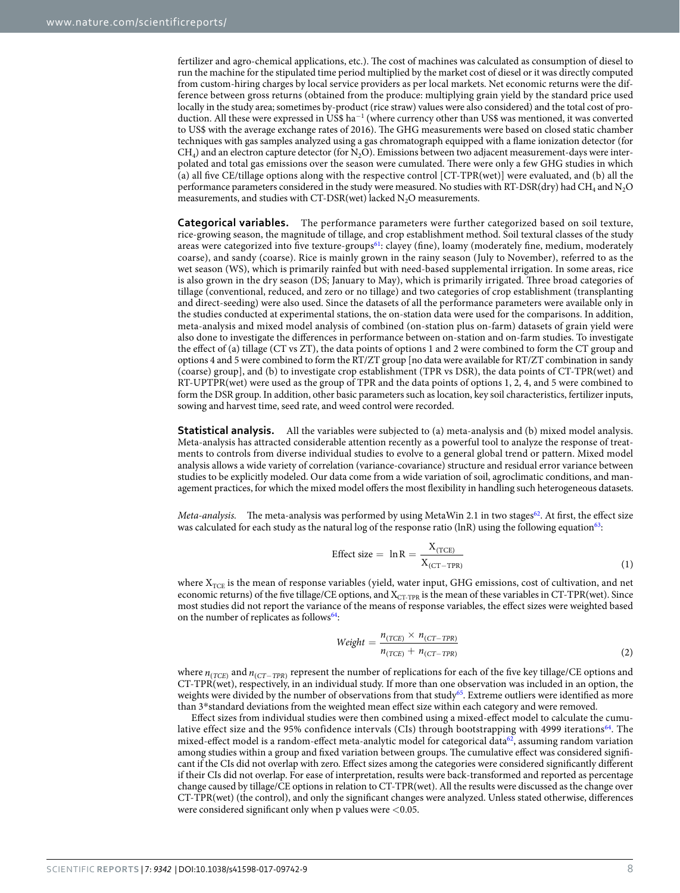fertilizer and agro-chemical applications, etc.). The cost of machines was calculated as consumption of diesel to run the machine for the stipulated time period multiplied by the market cost of diesel or it was directly computed from custom-hiring charges by local service providers as per local markets. Net economic returns were the difference between gross returns (obtained from the produce: multiplying grain yield by the standard price used locally in the study area; sometimes by-product (rice straw) values were also considered) and the total cost of production. All these were expressed in US\$ ha<sup>-1</sup> (where currency other than US\$ was mentioned, it was converted to US\$ with the average exchange rates of 2016). The GHG measurements were based on closed static chamber techniques with gas samples analyzed using a gas chromatograph equipped with a flame ionization detector (for  $CH<sub>4</sub>$ ) and an electron capture detector (for N<sub>2</sub>O). Emissions between two adjacent measurement-days were interpolated and total gas emissions over the season were cumulated. There were only a few GHG studies in which (a) all five CE/tillage options along with the respective control [CT-TPR(wet)] were evaluated, and (b) all the performance parameters considered in the study were measured. No studies with RT-DSR(dry) had CH<sub>4</sub> and N<sub>2</sub>O measurements, and studies with CT-DSR(wet) lacked  $N_2O$  measurements.

**Categorical variables.** The performance parameters were further categorized based on soil texture, rice-growing season, the magnitude of tillage, and crop establishment method. Soil textural classes of the study areas were categorized into five texture-groups<sup>[61](#page-9-25)</sup>: clayey (fine), loamy (moderately fine, medium, moderately coarse), and sandy (coarse). Rice is mainly grown in the rainy season (July to November), referred to as the wet season (WS), which is primarily rainfed but with need-based supplemental irrigation. In some areas, rice is also grown in the dry season (DS; January to May), which is primarily irrigated. Three broad categories of tillage (conventional, reduced, and zero or no tillage) and two categories of crop establishment (transplanting and direct-seeding) were also used. Since the datasets of all the performance parameters were available only in the studies conducted at experimental stations, the on-station data were used for the comparisons. In addition, meta-analysis and mixed model analysis of combined (on-station plus on-farm) datasets of grain yield were also done to investigate the differences in performance between on-station and on-farm studies. To investigate the effect of (a) tillage (CT vs ZT), the data points of options 1 and 2 were combined to form the CT group and options 4 and 5 were combined to form the RT/ZT group [no data were available for RT/ZT combination in sandy (coarse) group], and (b) to investigate crop establishment (TPR vs DSR), the data points of CT-TPR(wet) and RT-UPTPR(wet) were used as the group of TPR and the data points of options 1, 2, 4, and 5 were combined to form the DSR group. In addition, other basic parameters such as location, key soil characteristics, fertilizer inputs, sowing and harvest time, seed rate, and weed control were recorded.

**Statistical analysis.** All the variables were subjected to (a) meta-analysis and (b) mixed model analysis. Meta-analysis has attracted considerable attention recently as a powerful tool to analyze the response of treatments to controls from diverse individual studies to evolve to a general global trend or pattern. Mixed model analysis allows a wide variety of correlation (variance-covariance) structure and residual error variance between studies to be explicitly modeled. Our data come from a wide variation of soil, agroclimatic conditions, and management practices, for which the mixed model offers the most flexibility in handling such heterogeneous datasets.

*Meta-analysis.* The meta-analysis was performed by using MetaWin 2.1 in two stages<sup>[62](#page-9-26)</sup>. At first, the effect size was calculated for each study as the natural log of the response ratio (lnR) using the following equation<sup>[63](#page-9-27)</sup>:

$$
\text{Effect size} = \ln R = \frac{X_{(\text{TCE})}}{X_{(\text{CT-TPR})}}
$$
\n(1)

where X<sub>TCE</sub> is the mean of response variables (yield, water input, GHG emissions, cost of cultivation, and net economic returns) of the five tillage/CE options, and  $X_{CT-TPR}$  is the mean of these variables in CT-TPR(wet). Since most studies did not report the variance of the means of response variables, the effect sizes were weighted based on the number of replicates as follows<sup>[64](#page-9-28)</sup>:

$$
Weight = \frac{n_{(TCE)} \times n_{(CT-TPR)}}{n_{(TCE)} + n_{(CT-TPR)}}
$$
\n(2)

where  $n_{(TCE)}$  and  $n_{(CT-TPR)}$  represent the number of replications for each of the five key tillage/CE options and CT-TPR(wet), respectively, in an individual study. If more than one observation was included in an option, the weights were divided by the number of observations from that study<sup>[65](#page-9-29)</sup>. Extreme outliers were identified as more than 3\*standard deviations from the weighted mean effect size within each category and were removed.

Effect sizes from individual studies were then combined using a mixed-effect model to calculate the cumu-lative effect size and the 95% confidence intervals (CIs) through bootstrapping with 4999 iterations<sup>[64](#page-9-28)</sup>. The mixed-effect model is a random-effect meta-analytic model for categorical data<sup>[62](#page-9-26)</sup>, assuming random variation among studies within a group and fixed variation between groups. The cumulative effect was considered significant if the CIs did not overlap with zero. Effect sizes among the categories were considered significantly different if their CIs did not overlap. For ease of interpretation, results were back-transformed and reported as percentage change caused by tillage/CE options in relation to CT-TPR(wet). All the results were discussed as the change over CT-TPR(wet) (the control), and only the significant changes were analyzed. Unless stated otherwise, differences were considered significant only when p values were  $<$  0.05.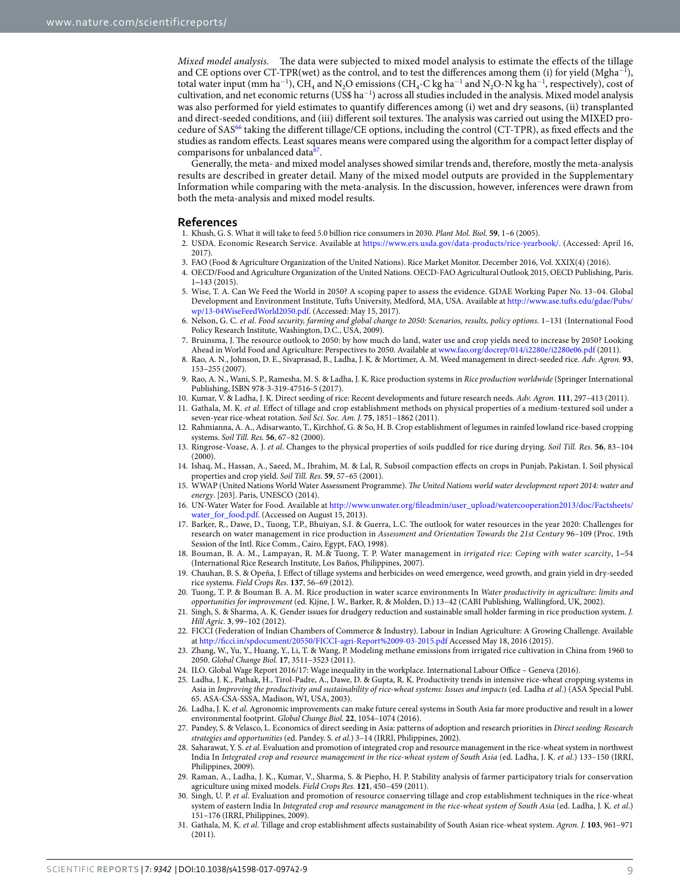Mixed model analysis. The data were subjected to mixed model analysis to estimate the effects of the tillage and CE options over CT-TPR(wet) as the control, and to test the differences among them (i) for yield (Mgha<sup>-1</sup>), total water input (mm ha<sup>-1</sup>), CH<sub>4</sub> and N<sub>2</sub>O emissions (CH<sub>4</sub>-C kg ha<sup>-1</sup> and N<sub>2</sub>O-N kg ha<sup>-1</sup>, respectively), cost of cultivation, and net economic returns (US\$ ha<sup>−</sup><sup>1</sup> ) across all studies included in the analysis. Mixed model analysis was also performed for yield estimates to quantify differences among (i) wet and dry seasons, (ii) transplanted and direct-seeded conditions, and (iii) different soil textures. The analysis was carried out using the MIXED procedure of SAS[66](#page-9-30) taking the different tillage/CE options, including the control (CT-TPR), as fixed effects and the studies as random effects. Least squares means were compared using the algorithm for a compact letter display of comparisons for unbalanced data<sup>[67](#page-9-31)</sup>.

Generally, the meta- and mixed model analyses showed similar trends and, therefore, mostly the meta-analysis results are described in greater detail. Many of the mixed model outputs are provided in the Supplementary Information while comparing with the meta-analysis. In the discussion, however, inferences were drawn from both the meta-analysis and mixed model results.

#### **References**

- <span id="page-8-0"></span>1. Khush, G. S. What it will take to feed 5.0 billion rice consumers in 2030. Plant Mol. Biol. **59**, 1–6 (2005).
- <span id="page-8-1"></span> 2. USDA. Economic Research Service. Available at [https://www.ers.usda.gov/data-products/rice-yearbook/.](https://www.ers.usda.gov/data-products/rice-yearbook/) (Accessed: April 16, 2017).
- <span id="page-8-2"></span>3. FAO (Food & Agriculture Organization of the United Nations). Rice Market Monitor. December 2016, Vol. XXIX(4) (2016).
- <span id="page-8-3"></span> 4. OECD/Food and Agriculture Organization of the United Nations. OECD-FAO Agricultural Outlook 2015, OECD Publishing, Paris.  $1 - 143(2015)$ .
- <span id="page-8-4"></span> 5. Wise, T. A. Can We Feed the World in 2050? A scoping paper to assess the evidence. GDAE Working Paper No. 13–04. Global Development and Environment Institute, Tufts University, Medford, MA, USA. Available at [http://www.ase.tufts.edu/gdae/Pubs/](http://www.ase.tufts.edu/gdae/Pubs/wp/13-04WiseFeedWorld2050.pdf) [wp/13-04WiseFeedWorld2050.pdf.](http://www.ase.tufts.edu/gdae/Pubs/wp/13-04WiseFeedWorld2050.pdf) (Accessed: May 15, 2017).
- <span id="page-8-5"></span> 6. Nelson, G. C. et al. Food security, farming and global change to 2050: Scenarios, results, policy options. 1–131 (International Food Policy Research Institute, Washington, D.C., USA, 2009).
- <span id="page-8-6"></span> 7. Bruinsma, J. The resource outlook to 2050: by how much do land, water use and crop yields need to increase by 2050? Looking Ahead in World Food and Agriculture: Perspectives to 2050. Available at [www.fao.org/docrep/014/i2280e/i2280e06.pdf](http://www.fao.org/docrep/014/i2280e/i2280e06.pdf) (2011).
- <span id="page-8-7"></span>8. Rao, A. N., Johnson, D. E., Sivaprasad, B., Ladha, J. K. & Mortimer, A. M. Weed management in direct-seeded rice. Adv. Agron. 93, 153–255 (2007).
- <span id="page-8-8"></span> 9. Rao, A. N., Wani, S. P., Ramesha, M. S. & Ladha, J. K. Rice production systems in Rice production worldwide (Springer International Publishing, ISBN 978-3-319-47516-5 (2017).
- <span id="page-8-9"></span>10. Kumar, V. & Ladha, J. K. Direct seeding of rice: Recent developments and future research needs. Adv. Agron. **111**, 297–413 (2011).
- <span id="page-8-10"></span> 11. Gathala, M. K. et al. Effect of tillage and crop establishment methods on physical properties of a medium-textured soil under a seven-year rice-wheat rotation. Soil Sci. Soc. Am. J. **75**, 1851–1862 (2011).
- <span id="page-8-11"></span> 12. Rahmianna, A. A., Adisarwanto, T., Kirchhof, G. & So, H. B. Crop establishment of legumes in rainfed lowland rice-based cropping systems. Soil Till. Res. **56**, 67–82 (2000).
- <span id="page-8-12"></span> 13. Ringrose-Voase, A. J. et al. Changes to the physical properties of soils puddled for rice during drying. Soil Till. Res. **56**, 83–104 (2000).
- <span id="page-8-13"></span> 14. Ishaq, M., Hassan, A., Saeed, M., Ibrahim, M. & Lal, R. Subsoil compaction effects on crops in Punjab, Pakistan. I. Soil physical properties and crop yield. Soil Till. Res. **59**, 57–65 (2001).
- <span id="page-8-14"></span> 15. WWAP (United Nations World Water Assessment Programme). The United Nations world water development report 2014: water and energy. [203]. Paris, UNESCO (2014).
- <span id="page-8-15"></span> 16. UN-Water Water for Food. Available at [http://www.unwater.org/fileadmin/user\\_upload/watercooperation2013/doc/Factsheets/](http://www.unwater.org/fileadmin/user_upload/watercooperation2013/doc/Factsheets/water_for_food.pdf) [water\\_for\\_food.pdf](http://www.unwater.org/fileadmin/user_upload/watercooperation2013/doc/Factsheets/water_for_food.pdf). (Accessed on August 15, 2013).
- <span id="page-8-16"></span> 17. Barker, R., Dawe, D., Tuong, T.P., Bhuiyan, S.I. & Guerra, L.C. The outlook for water resources in the year 2020: Challenges for research on water management in rice production in Assessment and Orientation Towards the 21st Century 96–109 (Proc. 19th Session of the Intl. Rice Comm., Cairo, Egypt, FAO, 1998).
- <span id="page-8-17"></span>18. Bouman, B. A. M., Lampayan, R. M.& Tuong, T. P. Water management in irrigated rice: Coping with water scarcity, 1-54 (International Rice Research Institute, Los Baños, Philippines, 2007).
- <span id="page-8-18"></span> 19. Chauhan, B. S. & Opeña, J. Effect of tillage systems and herbicides on weed emergence, weed growth, and grain yield in dry-seeded rice systems. Field Crops Res. **137**, 56–69 (2012).
- <span id="page-8-19"></span>20. Tuong, T. P. & Bouman B. A. M. Rice production in water scarce environments In Water productivity in agriculture: limits and opportunities for improvement (ed. Kijne, J. W., Barker, R. & Molden, D.) 13–42 (CABI Publishing, Wallingford, UK, 2002).
- <span id="page-8-20"></span> 21. Singh, S. & Sharma, A. K. Gender issues for drudgery reduction and sustainable small holder farming in rice production system. J. Hill Agric. **3**, 99–102 (2012).
- <span id="page-8-21"></span> 22. FICCI (Federation of Indian Chambers of Commerce & Industry). Labour in Indian Agriculture: A Growing Challenge. Available at [http://ficci.in/spdocument/20550/FICCI-agri-Report%2009-03-2015.pdf](http://ficci.in/spdocument/20550/FICCI-agri-Report%252009-03-2015.pdf) Accessed May 18, 2016 (2015).
- <span id="page-8-22"></span> 23. Zhang, W., Yu, Y., Huang, Y., Li, T. & Wang, P. Modeling methane emissions from irrigated rice cultivation in China from 1960 to 2050. Global Change Biol. **17**, 3511–3523 (2011).
- <span id="page-8-23"></span>24. ILO. Global Wage Report 2016/17: Wage inequality in the workplace. International Labour Office – Geneva (2016).
- <span id="page-8-24"></span> 25. Ladha, J. K., Pathak, H., Tirol-Padre, A., Dawe, D. & Gupta, R. K. Productivity trends in intensive rice-wheat cropping systems in Asia in Improving the productivity and sustainability of rice-wheat systems: Issues and impacts (ed. Ladha et al.) (ASA Special Publ. 65. ASA-CSA-SSSA, Madison, WI, USA, 2003).
- <span id="page-8-25"></span>26. Ladha, J. K. et al. Agronomic improvements can make future cereal systems in South Asia far more productive and result in a lower environmental footprint. Global Change Biol. **22**, 1054–1074 (2016).
- <span id="page-8-26"></span>27. Pandey, S. & Velasco, L. Economics of direct seeding in Asia: patterns of adoption and research priorities in Direct seeding: Research strategies and opportunities (ed. Pandey. S. et al.) 3–14 (IRRI, Philippines, 2002).
- <span id="page-8-27"></span>28. Saharawat, Y. S. et al. Evaluation and promotion of integrated crop and resource management in the rice-wheat system in northwest India In Integrated crop and resource management in the rice-wheat system of South Asia (ed. Ladha, J. K. et al.) 133–150 (IRRI, Philippines, 2009).
- <span id="page-8-28"></span> 29. Raman, A., Ladha, J. K., Kumar, V., Sharma, S. & Piepho, H. P. Stability analysis of farmer participatory trials for conservation agriculture using mixed models. Field Crops Res. **121**, 450–459 (2011).
- <span id="page-8-29"></span> 30. Singh, U. P. et al. Evaluation and promotion of resource conserving tillage and crop establishment techniques in the rice-wheat system of eastern India In Integrated crop and resource management in the rice-wheat system of South Asia (ed. Ladha, J. K. et al.) 151–176 (IRRI, Philippines, 2009).
- 31. Gathala, M. K. et al. Tillage and crop establishment affects sustainability of South Asian rice-wheat system. Agron. J. **103**, 961–971 (2011).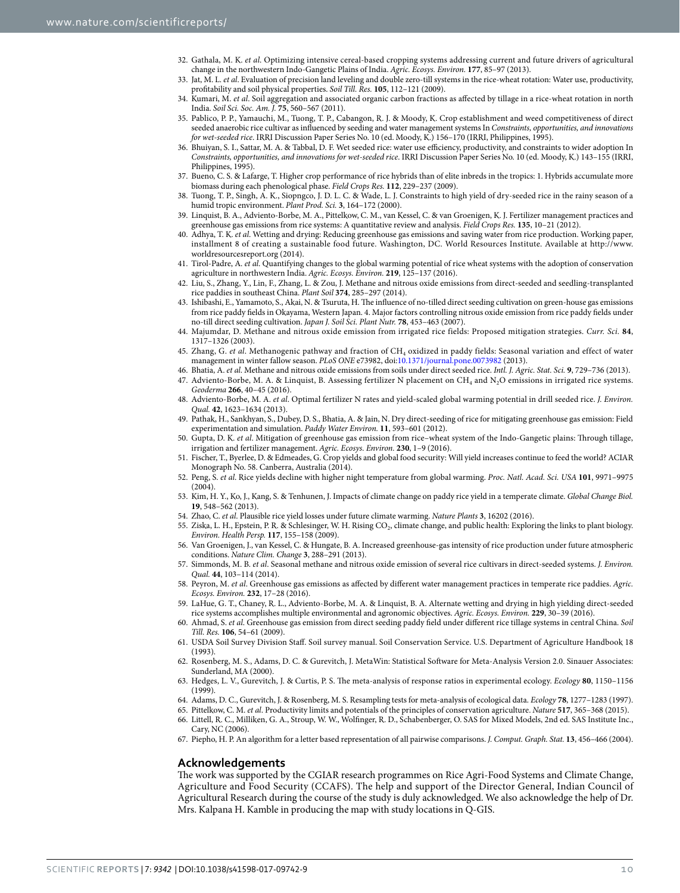- <span id="page-9-0"></span>32. Gathala, M. K. et al. Optimizing intensive cereal-based cropping systems addressing current and future drivers of agricultural change in the northwestern Indo-Gangetic Plains of India. Agric. Ecosys. Environ. **177**, 85–97 (2013).
- 33. Jat, M. L. et al. Evaluation of precision land leveling and double zero-till systems in the rice-wheat rotation: Water use, productivity, profitability and soil physical properties. Soil Till. Res. **105**, 112–121 (2009).
- <span id="page-9-1"></span> 34. Kumari, M. et al. Soil aggregation and associated organic carbon fractions as affected by tillage in a rice-wheat rotation in north India. Soil Sci. Soc. Am. J. **75**, 560–567 (2011).
- <span id="page-9-2"></span> 35. Pablico, P. P., Yamauchi, M., Tuong, T. P., Cabangon, R. J. & Moody, K. Crop establishment and weed competitiveness of direct seeded anaerobic rice cultivar as influenced by seeding and water management systems In Constraints, opportunities, and innovations for wet-seeded rice. IRRI Discussion Paper Series No. 10 (ed. Moody, K.) 156-170 (IRRI, Philippines, 1995).
- <span id="page-9-3"></span> 36. Bhuiyan, S. I., Sattar, M. A. & Tabbal, D. F. Wet seeded rice: water use efficiency, productivity, and constraints to wider adoption In Constraints, opportunities, and innovations for wet-seeded rice. IRRI Discussion Paper Series No. 10 (ed. Moody, K.) 143–155 (IRRI, Philippines, 1995).
- <span id="page-9-4"></span> 37. Bueno, C. S. & Lafarge, T. Higher crop performance of rice hybrids than of elite inbreds in the tropics: 1. Hybrids accumulate more biomass during each phenological phase. Field Crops Res. **112**, 229–237 (2009).
- <span id="page-9-5"></span>Tuong, T. P., Singh, A. K., Siopngco, J. D. L. C. & Wade, L. J. Constraints to high yield of dry-seeded rice in the rainy season of a humid tropic environment. Plant Prod. Sci. **3**, 164–172 (2000).
- <span id="page-9-6"></span> 39. Linquist, B. A., Adviento-Borbe, M. A., Pittelkow, C. M., van Kessel, C. & van Groenigen, K. J. Fertilizer management practices and greenhouse gas emissions from rice systems: A quantitative review and analysis. Field Crops Res. **135**, 10–21 (2012).
- <span id="page-9-13"></span> 40. Adhya, T. K. et al. Wetting and drying: Reducing greenhouse gas emissions and saving water from rice production. Working paper, installment 8 of creating a sustainable food future. Washington, DC. World Resources Institute. Available at http://www. worldresourcesreport.org (2014).
- <span id="page-9-7"></span> 41. Tirol-Padre, A. et al. Quantifying changes to the global warming potential of rice wheat systems with the adoption of conservation agriculture in northwestern India. Agric. Ecosys. Environ. **219**, 125–137 (2016).
- <span id="page-9-8"></span> 42. Liu, S., Zhang, Y., Lin, F., Zhang, L. & Zou, J. Methane and nitrous oxide emissions from direct-seeded and seedling-transplanted rice paddies in southeast China. Plant Soil **374**, 285–297 (2014).
- 43. Ishibashi, E., Yamamoto, S., Akai, N. & Tsuruta, H. The influence of no-tilled direct seeding cultivation on green-house gas emissions from rice paddy fields in Okayama, Western Japan. 4. Major factors controlling nitrous oxide emission from rice paddy fields under no-till direct seeding cultivation. Japan J. Soil Sci. Plant Nutr. **78**, 453–463 (2007).
- <span id="page-9-9"></span> 44. Majumdar, D. Methane and nitrous oxide emission from irrigated rice fields: Proposed mitigation strategies. Curr. Sci. **84**, 1317–1326 (2003).
- <span id="page-9-10"></span>45. Zhang, G. *et al.* Methanogenic pathway and fraction of CH<sub>4</sub> oxidized in paddy fields: Seasonal variation and effect of water management in winter fallow season. PLoS ONE e73982, doi[:10.1371/journal.pone.0073982](http://dx.doi.org/10.1371/journal.pone.0073982) (2013).
- <span id="page-9-12"></span><span id="page-9-11"></span> 46. Bhatia, A. et al. Methane and nitrous oxide emissions from soils under direct seeded rice. Intl. J. Agric. Stat. Sci. **9**, 729–736 (2013). 47. Adviento-Borbe, M. A. & Linquist, B. Assessing fertilizer N placement on  $CH_4$  and  $N_2O$  emissions in irrigated rice systems.
- <span id="page-9-14"></span>Geoderma **266**, 40–45 (2016). 48. Adviento-Borbe, M. A. et al. Optimal fertilizer N rates and yield-scaled global warming potential in drill seeded rice. J. Environ. Qual. **42**, 1623–1634 (2013).
- <span id="page-9-15"></span> 49. Pathak, H., Sankhyan, S., Dubey, D. S., Bhatia, A. & Jain, N. Dry direct-seeding of rice for mitigating greenhouse gas emission: Field experimentation and simulation. Paddy Water Environ. **11**, 593–601 (2012).
- <span id="page-9-16"></span> 50. Gupta, D. K. et al. Mitigation of greenhouse gas emission from rice–wheat system of the Indo-Gangetic plains: Through tillage, irrigation and fertilizer management. Agric. Ecosys. Environ. **230**, 1–9 (2016).
- <span id="page-9-17"></span> 51. Fischer, T., Byerlee, D. & Edmeades, G. Crop yields and global food security: Will yield increases continue to feed the world? ACIAR Monograph No. 58. Canberra, Australia (2014).
- <span id="page-9-18"></span> 52. Peng, S. et al. Rice yields decline with higher night temperature from global warming. Proc. Natl. Acad. Sci. USA **101**, 9971–9975  $(2004)$ .
- 53. Kim, H. Y., Ko, J., Kang, S. & Tenhunen, J. Impacts of climate change on paddy rice yield in a temperate climate. Global Change Biol. **19**, 548–562 (2013).
- <span id="page-9-19"></span>54. Zhao, C. et al. Plausible rice yield losses under future climate warming. Nature Plants **3**, 16202 (2016).
- <span id="page-9-20"></span>55. Ziska, L. H., Epstein, P. R. & Schlesinger, W. H. Rising CO<sub>2</sub>, climate change, and public health: Exploring the links to plant biology. Environ. Health Persp. **117**, 155–158 (2009).
- <span id="page-9-21"></span> 56. Van Groenigen, J., van Kessel, C. & Hungate, B. A. Increased greenhouse-gas intensity of rice production under future atmospheric conditions. Nature Clim. Change **3**, 288–291 (2013).
- <span id="page-9-22"></span>57. Simmonds, M. B. et al. Seasonal methane and nitrous oxide emission of several rice cultivars in direct-seeded systems. J. Environ. Qual. **44**, 103–114 (2014).
- 58. Peyron, M. et al. Greenhouse gas emissions as affected by different water management practices in temperate rice paddies. Agric. Ecosys. Environ. **232**, 17–28 (2016).
- <span id="page-9-23"></span> 59. LaHue, G. T., Chaney, R. L., Adviento-Borbe, M. A. & Linquist, B. A. Alternate wetting and drying in high yielding direct-seeded rice systems accomplishes multiple environmental and agronomic objectives. Agric. Ecosys. Environ. **229**, 30–39 (2016).
- <span id="page-9-24"></span>60. Ahmad, S. et al. Greenhouse gas emission from direct seeding paddy field under different rice tillage systems in central China. Soil Till. Res. **106**, 54–61 (2009).
- <span id="page-9-25"></span> 61. USDA Soil Survey Division Staff. Soil survey manual. Soil Conservation Service. U.S. Department of Agriculture Handbook 18 (1993).
- <span id="page-9-26"></span> 62. Rosenberg, M. S., Adams, D. C. & Gurevitch, J. MetaWin: Statistical Software for Meta-Analysis Version 2.0. Sinauer Associates: Sunderland, MA (2000).
- <span id="page-9-27"></span> 63. Hedges, L. V., Gurevitch, J. & Curtis, P. S. The meta-analysis of response ratios in experimental ecology. Ecology **80**, 1150–1156 (1999).
- <span id="page-9-28"></span>64. Adams, D. C., Gurevitch, J. & Rosenberg, M. S. Resampling tests for meta-analysis of ecological data. Ecology **78**, 1277–1283 (1997).
- <span id="page-9-29"></span>65. Pittelkow, C. M. et al. Productivity limits and potentials of the principles of conservation agriculture. Nature **517**, 365–368 (2015).
- <span id="page-9-30"></span> 66. Littell, R. C., Milliken, G. A., Stroup, W. W., Wolfinger, R. D., Schabenberger, O. SAS for Mixed Models, 2nd ed. SAS Institute Inc., Cary, NC (2006).
- <span id="page-9-31"></span>67. Piepho, H. P. An algorithm for a letter based representation of all pairwise comparisons. J. Comput. Graph. Stat. **13**, 456–466 (2004).

#### **Acknowledgements**

The work was supported by the CGIAR research programmes on Rice Agri-Food Systems and Climate Change, Agriculture and Food Security (CCAFS). The help and support of the Director General, Indian Council of Agricultural Research during the course of the study is duly acknowledged. We also acknowledge the help of Dr. Mrs. Kalpana H. Kamble in producing the map with study locations in Q-GIS.